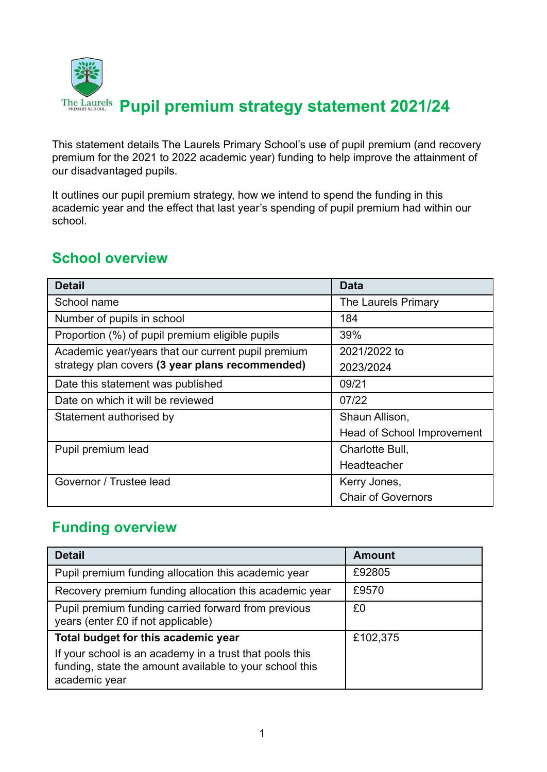

This statement details The Laurels Primary School's use of pupil premium (and recovery premium for the 2021 to 2022 academic year) funding to help improve the attainment of our disadvantaged pupils.

It outlines our pupil premium strategy, how we intend to spend the funding in this academic year and the effect that last year's spending of pupil premium had within our school.

### **School overview**

| <b>Detail</b>                                      | <b>Data</b>                |
|----------------------------------------------------|----------------------------|
| School name                                        | The Laurels Primary        |
| Number of pupils in school                         | 184                        |
| Proportion (%) of pupil premium eligible pupils    | 39%                        |
| Academic year/years that our current pupil premium | 2021/2022 to               |
| strategy plan covers (3 year plans recommended)    | 2023/2024                  |
| Date this statement was published                  | 09/21                      |
| Date on which it will be reviewed                  | 07/22                      |
| Statement authorised by                            | Shaun Allison,             |
|                                                    | Head of School Improvement |
| Pupil premium lead                                 | Charlotte Bull,            |
|                                                    | Headteacher                |
| Governor / Trustee lead                            | Kerry Jones,               |
|                                                    | <b>Chair of Governors</b>  |

### **Funding overview**

| <b>Detail</b>                                                                                                                       | <b>Amount</b> |
|-------------------------------------------------------------------------------------------------------------------------------------|---------------|
| Pupil premium funding allocation this academic year                                                                                 | £92805        |
| Recovery premium funding allocation this academic year                                                                              | £9570         |
| Pupil premium funding carried forward from previous<br>years (enter £0 if not applicable)                                           | £0            |
| Total budget for this academic year                                                                                                 | £102,375      |
| If your school is an academy in a trust that pools this<br>funding, state the amount available to your school this<br>academic year |               |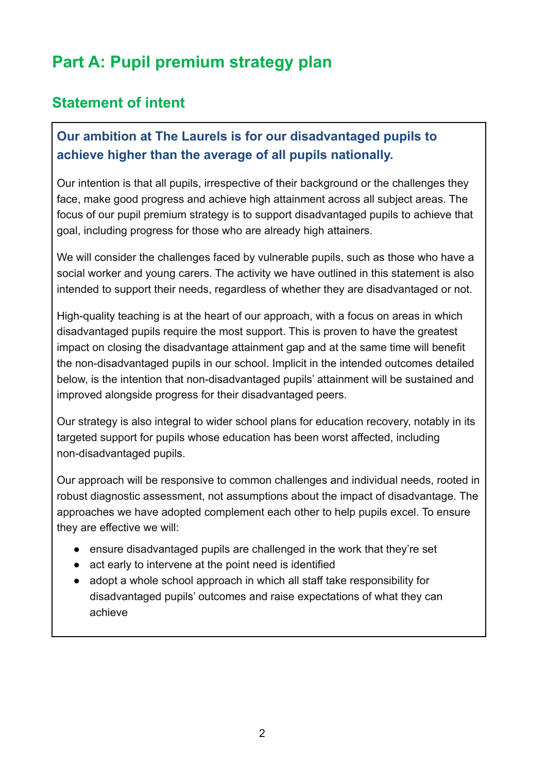## **Part A: Pupil premium strategy plan**

#### **Statement of intent**

#### **Our ambition at The Laurels is for our disadvantaged pupils to achieve higher than the average of all pupils nationally.**

Our intention is that all pupils, irrespective of their background or the challenges they face, make good progress and achieve high attainment across all subject areas. The focus of our pupil premium strategy is to support disadvantaged pupils to achieve that goal, including progress for those who are already high attainers.

We will consider the challenges faced by vulnerable pupils, such as those who have a social worker and young carers. The activity we have outlined in this statement is also intended to support their needs, regardless of whether they are disadvantaged or not.

High-quality teaching is at the heart of our approach, with a focus on areas in which disadvantaged pupils require the most support. This is proven to have the greatest impact on closing the disadvantage attainment gap and at the same time will benefit the non-disadvantaged pupils in our school. Implicit in the intended outcomes detailed below, is the intention that non-disadvantaged pupils' attainment will be sustained and improved alongside progress for their disadvantaged peers.

Our strategy is also integral to wider school plans for education recovery, notably in its targeted support for pupils whose education has been worst affected, including non-disadvantaged pupils.

Our approach will be responsive to common challenges and individual needs, rooted in robust diagnostic assessment, not assumptions about the impact of disadvantage. The approaches we have adopted complement each other to help pupils excel. To ensure they are effective we will:

- ensure disadvantaged pupils are challenged in the work that they're set
- act early to intervene at the point need is identified
- adopt a whole school approach in which all staff take responsibility for disadvantaged pupils' outcomes and raise expectations of what they can achieve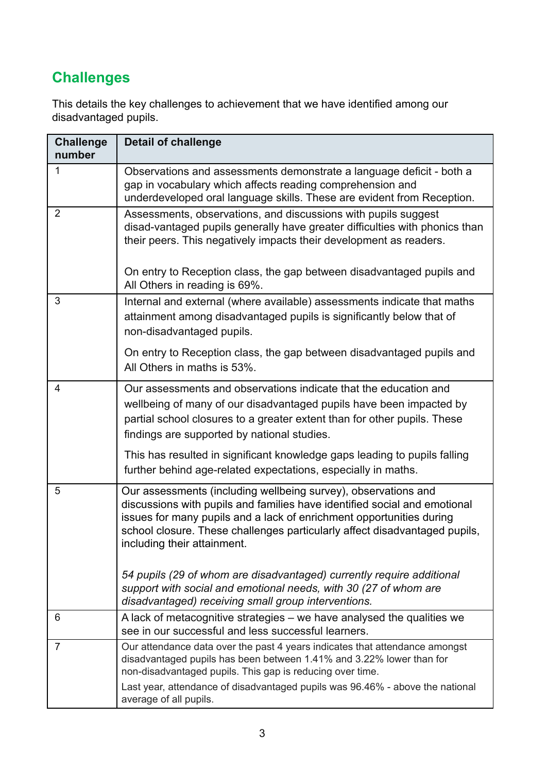### **Challenges**

This details the key challenges to achievement that we have identified among our disadvantaged pupils.

| <b>Challenge</b><br>number | <b>Detail of challenge</b>                                                                                                                                                                                                                                                                                                       |
|----------------------------|----------------------------------------------------------------------------------------------------------------------------------------------------------------------------------------------------------------------------------------------------------------------------------------------------------------------------------|
| $\mathbf{1}$               | Observations and assessments demonstrate a language deficit - both a<br>gap in vocabulary which affects reading comprehension and<br>underdeveloped oral language skills. These are evident from Reception.                                                                                                                      |
| $\overline{2}$             | Assessments, observations, and discussions with pupils suggest<br>disad-vantaged pupils generally have greater difficulties with phonics than<br>their peers. This negatively impacts their development as readers.                                                                                                              |
|                            | On entry to Reception class, the gap between disadvantaged pupils and<br>All Others in reading is 69%.                                                                                                                                                                                                                           |
| 3                          | Internal and external (where available) assessments indicate that maths<br>attainment among disadvantaged pupils is significantly below that of<br>non-disadvantaged pupils.                                                                                                                                                     |
|                            | On entry to Reception class, the gap between disadvantaged pupils and<br>All Others in maths is 53%.                                                                                                                                                                                                                             |
| 4                          | Our assessments and observations indicate that the education and<br>wellbeing of many of our disadvantaged pupils have been impacted by<br>partial school closures to a greater extent than for other pupils. These<br>findings are supported by national studies.                                                               |
|                            | This has resulted in significant knowledge gaps leading to pupils falling<br>further behind age-related expectations, especially in maths.                                                                                                                                                                                       |
| 5                          | Our assessments (including wellbeing survey), observations and<br>discussions with pupils and families have identified social and emotional<br>issues for many pupils and a lack of enrichment opportunities during<br>school closure. These challenges particularly affect disadvantaged pupils,<br>including their attainment. |
|                            | 54 pupils (29 of whom are disadvantaged) currently require additional<br>support with social and emotional needs, with 30 (27 of whom are<br>disadvantaged) receiving small group interventions.                                                                                                                                 |
| 6                          | A lack of metacognitive strategies – we have analysed the qualities we<br>see in our successful and less successful learners.                                                                                                                                                                                                    |
| $\overline{7}$             | Our attendance data over the past 4 years indicates that attendance amongst<br>disadvantaged pupils has been between 1.41% and 3.22% lower than for<br>non-disadvantaged pupils. This gap is reducing over time.                                                                                                                 |
|                            | Last year, attendance of disadvantaged pupils was 96.46% - above the national<br>average of all pupils.                                                                                                                                                                                                                          |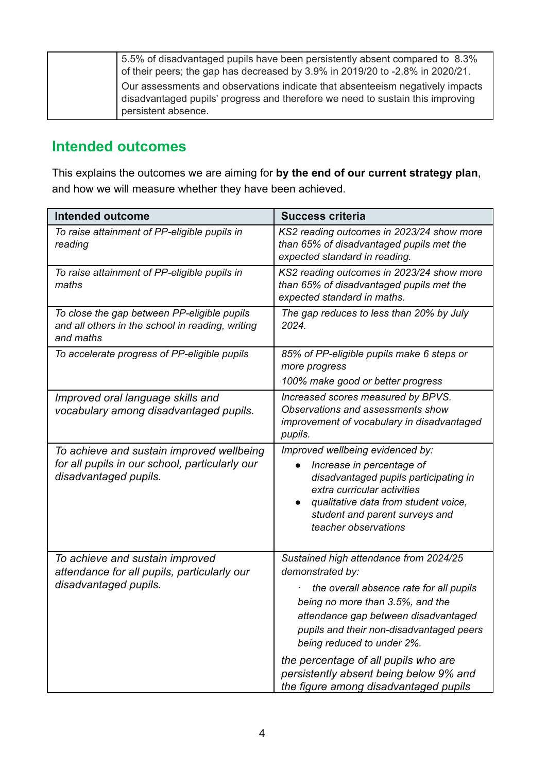| 5.5% of disadvantaged pupils have been persistently absent compared to 8.3%<br>of their peers; the gap has decreased by 3.9% in 2019/20 to -2.8% in 2020/21.                           |
|----------------------------------------------------------------------------------------------------------------------------------------------------------------------------------------|
| Our assessments and observations indicate that absenteeism negatively impacts<br>disadvantaged pupils' progress and therefore we need to sustain this improving<br>persistent absence. |

#### **Intended outcomes**

This explains the outcomes we are aiming for **by the end of our current strategy plan**, and how we will measure whether they have been achieved.

| <b>Intended outcome</b>                                                                                              | <b>Success criteria</b>                                                                                                                                                                                                                                                                                                                                                                |
|----------------------------------------------------------------------------------------------------------------------|----------------------------------------------------------------------------------------------------------------------------------------------------------------------------------------------------------------------------------------------------------------------------------------------------------------------------------------------------------------------------------------|
| To raise attainment of PP-eligible pupils in<br>reading                                                              | KS2 reading outcomes in 2023/24 show more<br>than 65% of disadvantaged pupils met the<br>expected standard in reading.                                                                                                                                                                                                                                                                 |
| To raise attainment of PP-eligible pupils in<br>maths                                                                | KS2 reading outcomes in 2023/24 show more<br>than 65% of disadvantaged pupils met the<br>expected standard in maths.                                                                                                                                                                                                                                                                   |
| To close the gap between PP-eligible pupils<br>and all others in the school in reading, writing<br>and maths         | The gap reduces to less than 20% by July<br>2024.                                                                                                                                                                                                                                                                                                                                      |
| To accelerate progress of PP-eligible pupils                                                                         | 85% of PP-eligible pupils make 6 steps or<br>more progress<br>100% make good or better progress                                                                                                                                                                                                                                                                                        |
| Improved oral language skills and<br>vocabulary among disadvantaged pupils.                                          | Increased scores measured by BPVS.<br>Observations and assessments show<br>improvement of vocabulary in disadvantaged<br>pupils.                                                                                                                                                                                                                                                       |
| To achieve and sustain improved wellbeing<br>for all pupils in our school, particularly our<br>disadvantaged pupils. | Improved wellbeing evidenced by:<br>Increase in percentage of<br>disadvantaged pupils participating in<br>extra curricular activities<br>qualitative data from student voice,<br>student and parent surveys and<br>teacher observations                                                                                                                                                |
| To achieve and sustain improved<br>attendance for all pupils, particularly our<br>disadvantaged pupils.              | Sustained high attendance from 2024/25<br>demonstrated by:<br>the overall absence rate for all pupils<br>being no more than 3.5%, and the<br>attendance gap between disadvantaged<br>pupils and their non-disadvantaged peers<br>being reduced to under 2%.<br>the percentage of all pupils who are<br>persistently absent being below 9% and<br>the figure among disadvantaged pupils |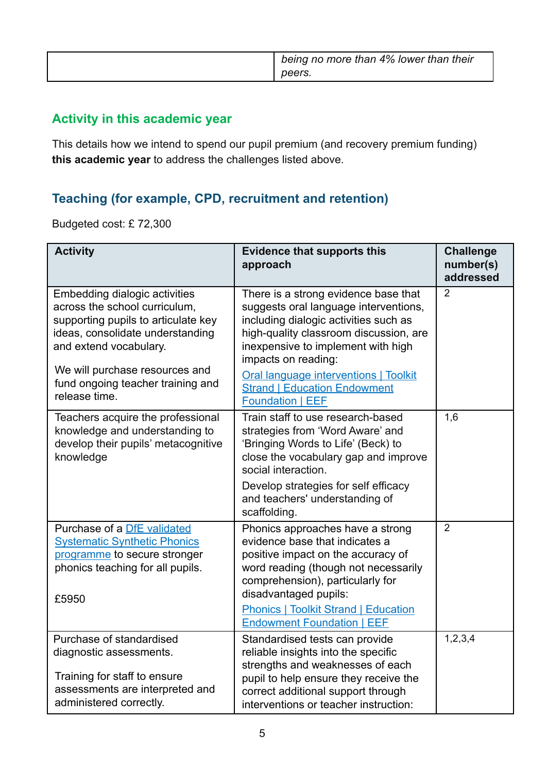| being no more than 4% lower than their<br>peers. |
|--------------------------------------------------|
|                                                  |

#### **Activity in this academic year**

This details how we intend to spend our pupil premium (and recovery premium funding) **this academic year** to address the challenges listed above.

#### **Teaching (for example, CPD, recruitment and retention)**

Budgeted cost: £ 72,300

| <b>Activity</b>                                                                                                                                                                                                                                                    | <b>Evidence that supports this</b><br>approach                                                                                                                                                                                                                                                                                                  | <b>Challenge</b><br>number(s)<br>addressed |
|--------------------------------------------------------------------------------------------------------------------------------------------------------------------------------------------------------------------------------------------------------------------|-------------------------------------------------------------------------------------------------------------------------------------------------------------------------------------------------------------------------------------------------------------------------------------------------------------------------------------------------|--------------------------------------------|
| <b>Embedding dialogic activities</b><br>across the school curriculum,<br>supporting pupils to articulate key<br>ideas, consolidate understanding<br>and extend vocabulary.<br>We will purchase resources and<br>fund ongoing teacher training and<br>release time. | There is a strong evidence base that<br>suggests oral language interventions,<br>including dialogic activities such as<br>high-quality classroom discussion, are<br>inexpensive to implement with high<br>impacts on reading:<br><b>Oral language interventions   Toolkit</b><br><b>Strand   Education Endowment</b><br><b>Foundation   EEF</b> | $\overline{2}$                             |
| Teachers acquire the professional<br>knowledge and understanding to<br>develop their pupils' metacognitive<br>knowledge                                                                                                                                            | Train staff to use research-based<br>strategies from 'Word Aware' and<br>'Bringing Words to Life' (Beck) to<br>close the vocabulary gap and improve<br>social interaction.<br>Develop strategies for self efficacy<br>and teachers' understanding of<br>scaffolding.                                                                            | 1,6                                        |
| Purchase of a DfE validated<br><b>Systematic Synthetic Phonics</b><br>programme to secure stronger<br>phonics teaching for all pupils.<br>£5950                                                                                                                    | Phonics approaches have a strong<br>evidence base that indicates a<br>positive impact on the accuracy of<br>word reading (though not necessarily<br>comprehension), particularly for<br>disadvantaged pupils:<br><b>Phonics   Toolkit Strand   Education</b><br><b>Endowment Foundation   EEF</b>                                               | $\overline{2}$                             |
| Purchase of standardised<br>diagnostic assessments.<br>Training for staff to ensure<br>assessments are interpreted and<br>administered correctly.                                                                                                                  | Standardised tests can provide<br>reliable insights into the specific<br>strengths and weaknesses of each<br>pupil to help ensure they receive the<br>correct additional support through<br>interventions or teacher instruction:                                                                                                               | 1,2,3,4                                    |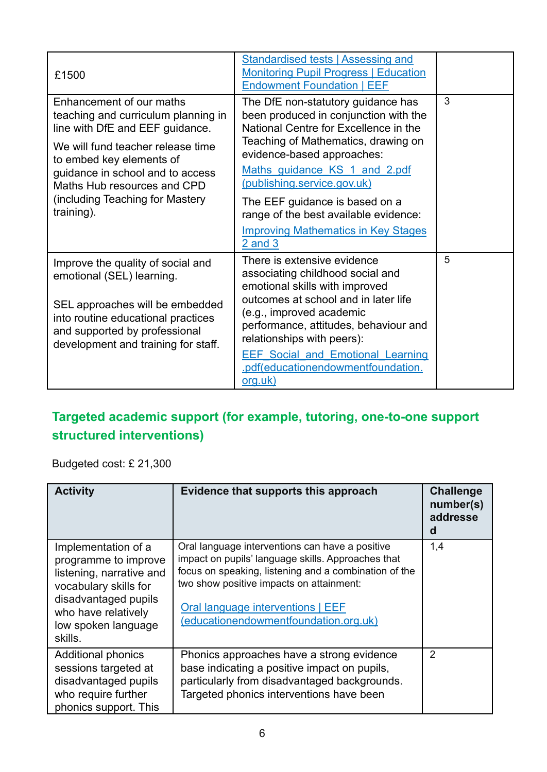| £1500                                                                                                                                                                                                                                                                                   | <b>Standardised tests   Assessing and</b><br><b>Monitoring Pupil Progress   Education</b><br><b>Endowment Foundation   EEF</b>                                                                                                                                                                                                              |   |
|-----------------------------------------------------------------------------------------------------------------------------------------------------------------------------------------------------------------------------------------------------------------------------------------|---------------------------------------------------------------------------------------------------------------------------------------------------------------------------------------------------------------------------------------------------------------------------------------------------------------------------------------------|---|
| Enhancement of our maths<br>teaching and curriculum planning in<br>line with DfE and EEF guidance.<br>We will fund teacher release time<br>to embed key elements of<br>guidance in school and to access<br>Maths Hub resources and CPD<br>(including Teaching for Mastery<br>training). | The DfE non-statutory guidance has<br>been produced in conjunction with the<br>National Centre for Excellence in the<br>Teaching of Mathematics, drawing on<br>evidence-based approaches:<br>Maths guidance KS 1 and 2.pdf<br><u>(publishing.service.gov.uk)</u><br>The EEF guidance is based on a<br>range of the best available evidence: | 3 |
|                                                                                                                                                                                                                                                                                         | <b>Improving Mathematics in Key Stages</b><br>$2$ and $3$                                                                                                                                                                                                                                                                                   |   |
| Improve the quality of social and<br>emotional (SEL) learning.<br>SEL approaches will be embedded<br>into routine educational practices<br>and supported by professional<br>development and training for staff.                                                                         | There is extensive evidence<br>associating childhood social and<br>emotional skills with improved<br>outcomes at school and in later life<br>(e.g., improved academic<br>performance, attitudes, behaviour and<br>relationships with peers):<br><b>EEF Social and Emotional Learning</b>                                                    | 5 |
|                                                                                                                                                                                                                                                                                         | .pdf(educationendowmentfoundation.<br><u>org.uk)</u>                                                                                                                                                                                                                                                                                        |   |

### **Targeted academic support (for example, tutoring, one-to-one support structured interventions)**

Budgeted cost: £ 21,300

| <b>Activity</b>                                                                                                                                                                   | Evidence that supports this approach                                                                                                                                                                                                                                                     | <b>Challenge</b><br>number(s)<br>addresse<br>d |
|-----------------------------------------------------------------------------------------------------------------------------------------------------------------------------------|------------------------------------------------------------------------------------------------------------------------------------------------------------------------------------------------------------------------------------------------------------------------------------------|------------------------------------------------|
| Implementation of a<br>programme to improve<br>listening, narrative and<br>vocabulary skills for<br>disadvantaged pupils<br>who have relatively<br>low spoken language<br>skills. | Oral language interventions can have a positive<br>impact on pupils' language skills. Approaches that<br>focus on speaking, listening and a combination of the<br>two show positive impacts on attainment:<br>Oral language interventions   EEF<br>(educationendowmentfoundation.org.uk) | 1,4                                            |
| <b>Additional phonics</b><br>sessions targeted at<br>disadvantaged pupils<br>who require further<br>phonics support. This                                                         | Phonics approaches have a strong evidence<br>base indicating a positive impact on pupils,<br>particularly from disadvantaged backgrounds.<br>Targeted phonics interventions have been                                                                                                    | $\overline{2}$                                 |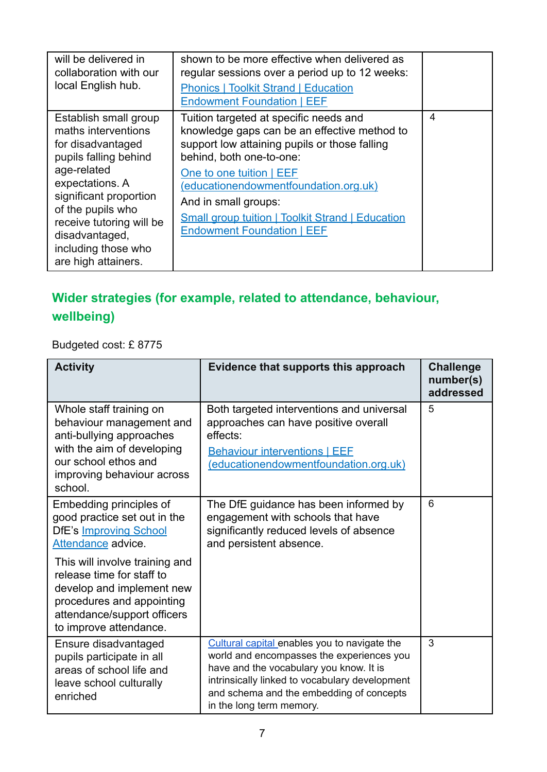| will be delivered in<br>collaboration with our<br>local English hub.                                                                                                                                                                                                    | shown to be more effective when delivered as<br>regular sessions over a period up to 12 weeks:<br><b>Phonics   Toolkit Strand   Education</b><br><b>Endowment Foundation   EEF</b>                                                                                                                                                                               |   |
|-------------------------------------------------------------------------------------------------------------------------------------------------------------------------------------------------------------------------------------------------------------------------|------------------------------------------------------------------------------------------------------------------------------------------------------------------------------------------------------------------------------------------------------------------------------------------------------------------------------------------------------------------|---|
| Establish small group<br>maths interventions<br>for disadvantaged<br>pupils falling behind<br>age-related<br>expectations. A<br>significant proportion<br>of the pupils who<br>receive tutoring will be<br>disadvantaged,<br>including those who<br>are high attainers. | Tuition targeted at specific needs and<br>knowledge gaps can be an effective method to<br>support low attaining pupils or those falling<br>behind, both one-to-one:<br>One to one tuition   EEF<br>(educationendowmentfoundation.org.uk)<br>And in small groups:<br><b>Small group tuition   Toolkit Strand   Education</b><br><b>Endowment Foundation   EEF</b> | 4 |

### **Wider strategies (for example, related to attendance, behaviour, wellbeing)**

Budgeted cost: £ 8775

| <b>Activity</b>                                                                                                                                                                                                                                                        | Evidence that supports this approach                                                                                                                                                                                                                           | <b>Challenge</b><br>number(s)<br>addressed |
|------------------------------------------------------------------------------------------------------------------------------------------------------------------------------------------------------------------------------------------------------------------------|----------------------------------------------------------------------------------------------------------------------------------------------------------------------------------------------------------------------------------------------------------------|--------------------------------------------|
| Whole staff training on<br>behaviour management and<br>anti-bullying approaches<br>with the aim of developing<br>our school ethos and<br>improving behaviour across<br>school.                                                                                         | Both targeted interventions and universal<br>approaches can have positive overall<br>effects:<br><b>Behaviour interventions   EEF</b><br>(educationendowmentfoundation.org.uk)                                                                                 | 5                                          |
| Embedding principles of<br>good practice set out in the<br><b>DfE's Improving School</b><br>Attendance advice.<br>This will involve training and<br>release time for staff to<br>develop and implement new<br>procedures and appointing<br>attendance/support officers | The DfE guidance has been informed by<br>engagement with schools that have<br>significantly reduced levels of absence<br>and persistent absence.                                                                                                               | 6                                          |
| to improve attendance.<br>Ensure disadvantaged<br>pupils participate in all<br>areas of school life and<br>leave school culturally<br>enriched                                                                                                                         | Cultural capital enables you to navigate the<br>world and encompasses the experiences you<br>have and the vocabulary you know. It is<br>intrinsically linked to vocabulary development<br>and schema and the embedding of concepts<br>in the long term memory. | 3                                          |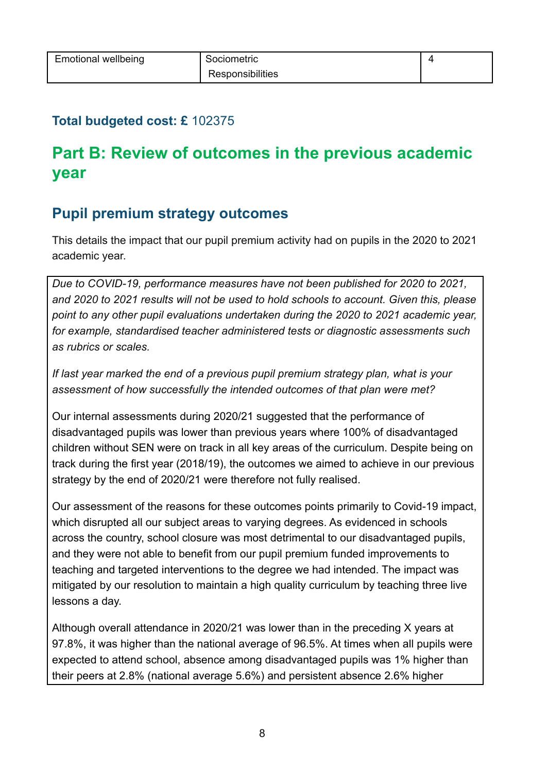#### **Total budgeted cost: £** 102375

## **Part B: Review of outcomes in the previous academic year**

#### **Pupil premium strategy outcomes**

This details the impact that our pupil premium activity had on pupils in the 2020 to 2021 academic year.

*Due to COVID-19, performance measures have not been published for 2020 to 2021, and 2020 to 2021 results will not be used to hold schools to account. Given this, please point to any other pupil evaluations undertaken during the 2020 to 2021 academic year, for example, standardised teacher administered tests or diagnostic assessments such as rubrics or scales.*

*If last year marked the end of a previous pupil premium strategy plan, what is your assessment of how successfully the intended outcomes of that plan were met?*

Our internal assessments during 2020/21 suggested that the performance of disadvantaged pupils was lower than previous years where 100% of disadvantaged children without SEN were on track in all key areas of the curriculum. Despite being on track during the first year (2018/19), the outcomes we aimed to achieve in our previous strategy by the end of 2020/21 were therefore not fully realised.

Our assessment of the reasons for these outcomes points primarily to Covid-19 impact, which disrupted all our subject areas to varying degrees. As evidenced in schools across the country, school closure was most detrimental to our disadvantaged pupils, and they were not able to benefit from our pupil premium funded improvements to teaching and targeted interventions to the degree we had intended. The impact was mitigated by our resolution to maintain a high quality curriculum by teaching three live lessons a day.

Although overall attendance in 2020/21 was lower than in the preceding X years at 97.8%, it was higher than the national average of 96.5%. At times when all pupils were expected to attend school, absence among disadvantaged pupils was 1% higher than their peers at 2.8% (national average 5.6%) and persistent absence 2.6% higher